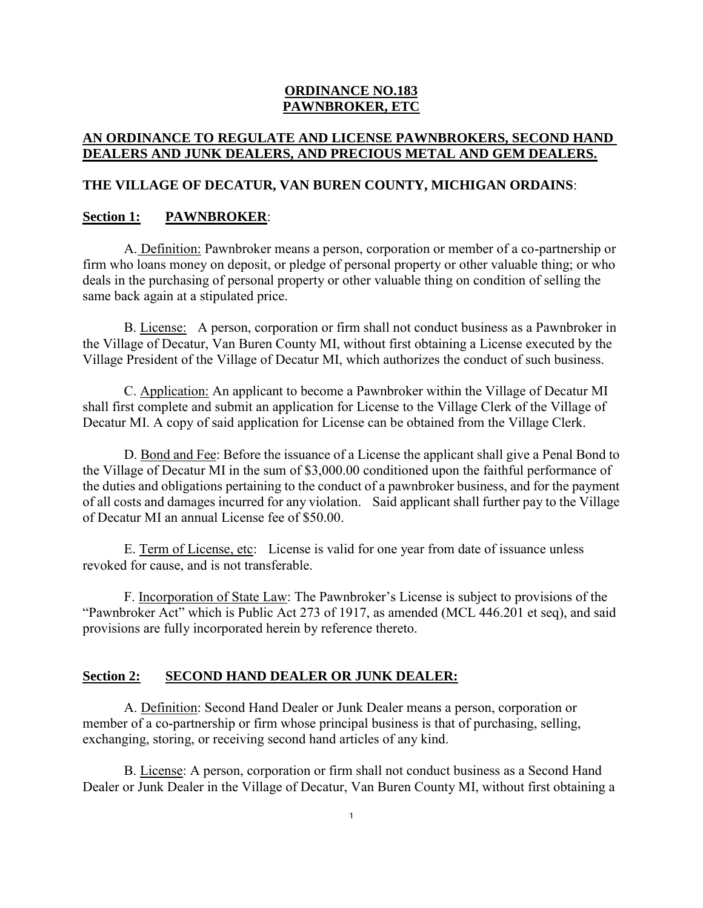## **ORDINANCE NO.183 PAWNBROKER, ETC**

# **AN ORDINANCE TO REGULATE AND LICENSE PAWNBROKERS, SECOND HAND DEALERS AND JUNK DEALERS, AND PRECIOUS METAL AND GEM DEALERS.**

## **THE VILLAGE OF DECATUR, VAN BUREN COUNTY, MICHIGAN ORDAINS**:

#### **Section 1: PAWNBROKER**:

A. Definition: Pawnbroker means a person, corporation or member of a co-partnership or firm who loans money on deposit, or pledge of personal property or other valuable thing; or who deals in the purchasing of personal property or other valuable thing on condition of selling the same back again at a stipulated price.

B. License: A person, corporation or firm shall not conduct business as a Pawnbroker in the Village of Decatur, Van Buren County MI, without first obtaining a License executed by the Village President of the Village of Decatur MI, which authorizes the conduct of such business.

C. Application: An applicant to become a Pawnbroker within the Village of Decatur MI shall first complete and submit an application for License to the Village Clerk of the Village of Decatur MI. A copy of said application for License can be obtained from the Village Clerk.

D. Bond and Fee: Before the issuance of a License the applicant shall give a Penal Bond to the Village of Decatur MI in the sum of \$3,000.00 conditioned upon the faithful performance of the duties and obligations pertaining to the conduct of a pawnbroker business, and for the payment of all costs and damages incurred for any violation. Said applicant shall further pay to the Village of Decatur MI an annual License fee of \$50.00.

E. Term of License, etc: License is valid for one year from date of issuance unless revoked for cause, and is not transferable.

F. Incorporation of State Law: The Pawnbroker's License is subject to provisions of the "Pawnbroker Act" which is Public Act 273 of 1917, as amended (MCL 446.201 et seq), and said provisions are fully incorporated herein by reference thereto.

# **Section 2: SECOND HAND DEALER OR JUNK DEALER:**

A. Definition: Second Hand Dealer or Junk Dealer means a person, corporation or member of a co-partnership or firm whose principal business is that of purchasing, selling, exchanging, storing, or receiving second hand articles of any kind.

B. License: A person, corporation or firm shall not conduct business as a Second Hand Dealer or Junk Dealer in the Village of Decatur, Van Buren County MI, without first obtaining a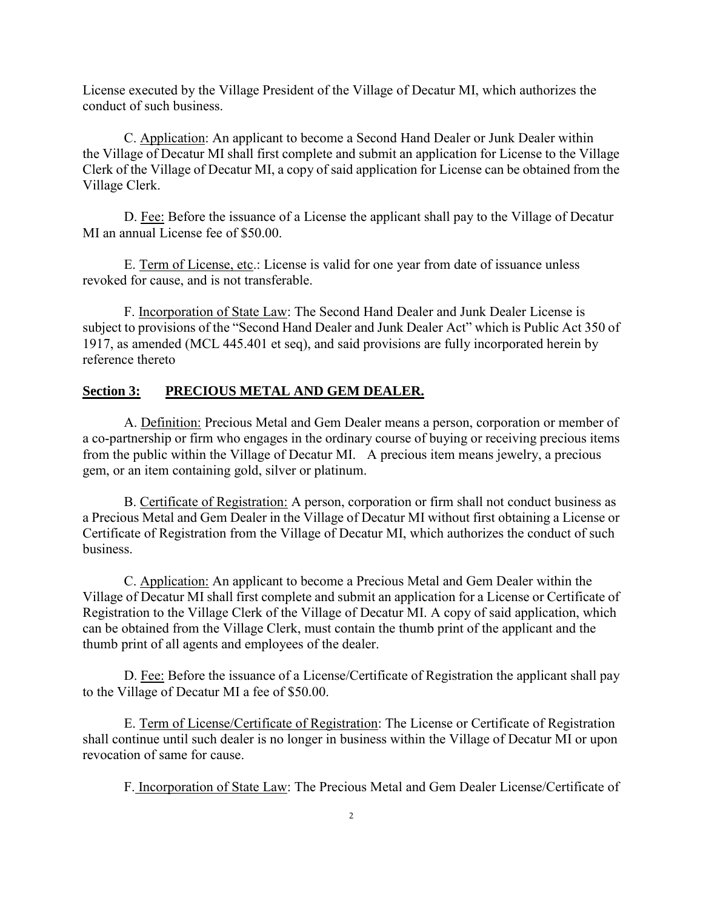License executed by the Village President of the Village of Decatur MI, which authorizes the conduct of such business.

C. Application: An applicant to become a Second Hand Dealer or Junk Dealer within the Village of Decatur MI shall first complete and submit an application for License to the Village Clerk of the Village of Decatur MI, a copy of said application for License can be obtained from the Village Clerk.

D. Fee: Before the issuance of a License the applicant shall pay to the Village of Decatur MI an annual License fee of \$50.00.

E. Term of License, etc.: License is valid for one year from date of issuance unless revoked for cause, and is not transferable.

F. Incorporation of State Law: The Second Hand Dealer and Junk Dealer License is subject to provisions of the "Second Hand Dealer and Junk Dealer Act" which is Public Act 350 of 1917, as amended (MCL 445.401 et seq), and said provisions are fully incorporated herein by reference thereto

## **Section 3: PRECIOUS METAL AND GEM DEALER.**

A. Definition: Precious Metal and Gem Dealer means a person, corporation or member of a co-partnership or firm who engages in the ordinary course of buying or receiving precious items from the public within the Village of Decatur MI. A precious item means jewelry, a precious gem, or an item containing gold, silver or platinum.

B. Certificate of Registration: A person, corporation or firm shall not conduct business as a Precious Metal and Gem Dealer in the Village of Decatur MI without first obtaining a License or Certificate of Registration from the Village of Decatur MI, which authorizes the conduct of such business.

C. Application: An applicant to become a Precious Metal and Gem Dealer within the Village of Decatur MI shall first complete and submit an application for a License or Certificate of Registration to the Village Clerk of the Village of Decatur MI. A copy of said application, which can be obtained from the Village Clerk, must contain the thumb print of the applicant and the thumb print of all agents and employees of the dealer.

D. Fee: Before the issuance of a License/Certificate of Registration the applicant shall pay to the Village of Decatur MI a fee of \$50.00.

E. Term of License/Certificate of Registration: The License or Certificate of Registration shall continue until such dealer is no longer in business within the Village of Decatur MI or upon revocation of same for cause.

F. Incorporation of State Law: The Precious Metal and Gem Dealer License/Certificate of